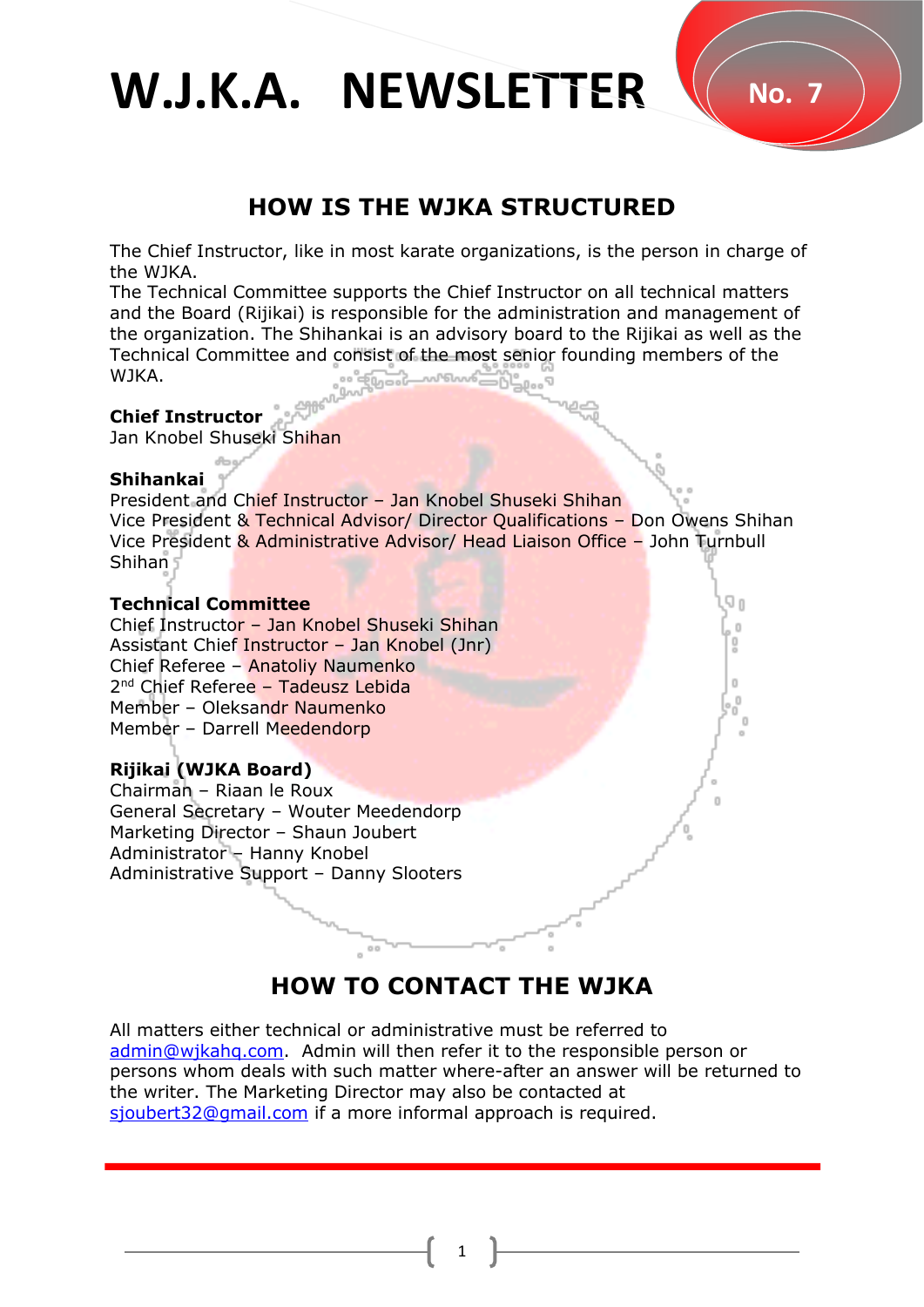W.J.K.A. NEWSLETTER  $\sqrt{ }$  No. 7

# **HOW IS THE WJKA STRUCTURED**

The Chief Instructor, like in most karate organizations, is the person in charge of the WJKA.

The Technical Committee supports the Chief Instructor on all technical matters and the Board (Rijikai) is responsible for the administration and management of the organization. The Shihankai is an advisory board to the Rijikai as well as the Technical Committee and consist of the most senior founding members of the WJKA.

#### **Chief Instructor**

Jan Knobel Shuseki Shihan

#### **Shihankai**

President and Chief Instructor – Jan Knobel Shuseki Shihan Vice President & Technical Advisor/ Director Qualifications – Don Owens Shihan Vice President & Administrative Advisor/ Head Liaison Office – John Turnbull Shihan

#### **Technical Committee**

Chief Instructor – Jan Knobel Shuseki Shihan Assistant Chief Instructor – Jan Knobel (Jnr) Chief Referee – Anatoliy Naumenko 2<sup>nd</sup> Chief Referee - Tadeusz Lebida Member – Oleksandr Naumenko Member – Darrell Meedendorp

#### **Rijikai (WJKA Board)**

Chairman – Riaan le Roux General Secretary – Wouter Meedendorp Marketing Director – Shaun Joubert Administrator – Hanny Knobel Administrative Support – Danny Slooters

# **HOW TO CONTACT THE WJKA**

All matters either technical or administrative must be referred to [admin@wjkahq.com.](mailto:admin@wjkahq.com) Admin will then refer it to the responsible person or persons whom deals with such matter where-after an answer will be returned to the writer. The Marketing Director may also be contacted at [sjoubert32@gmail.com](mailto:sjoubert32@gmail.com) if a more informal approach is required.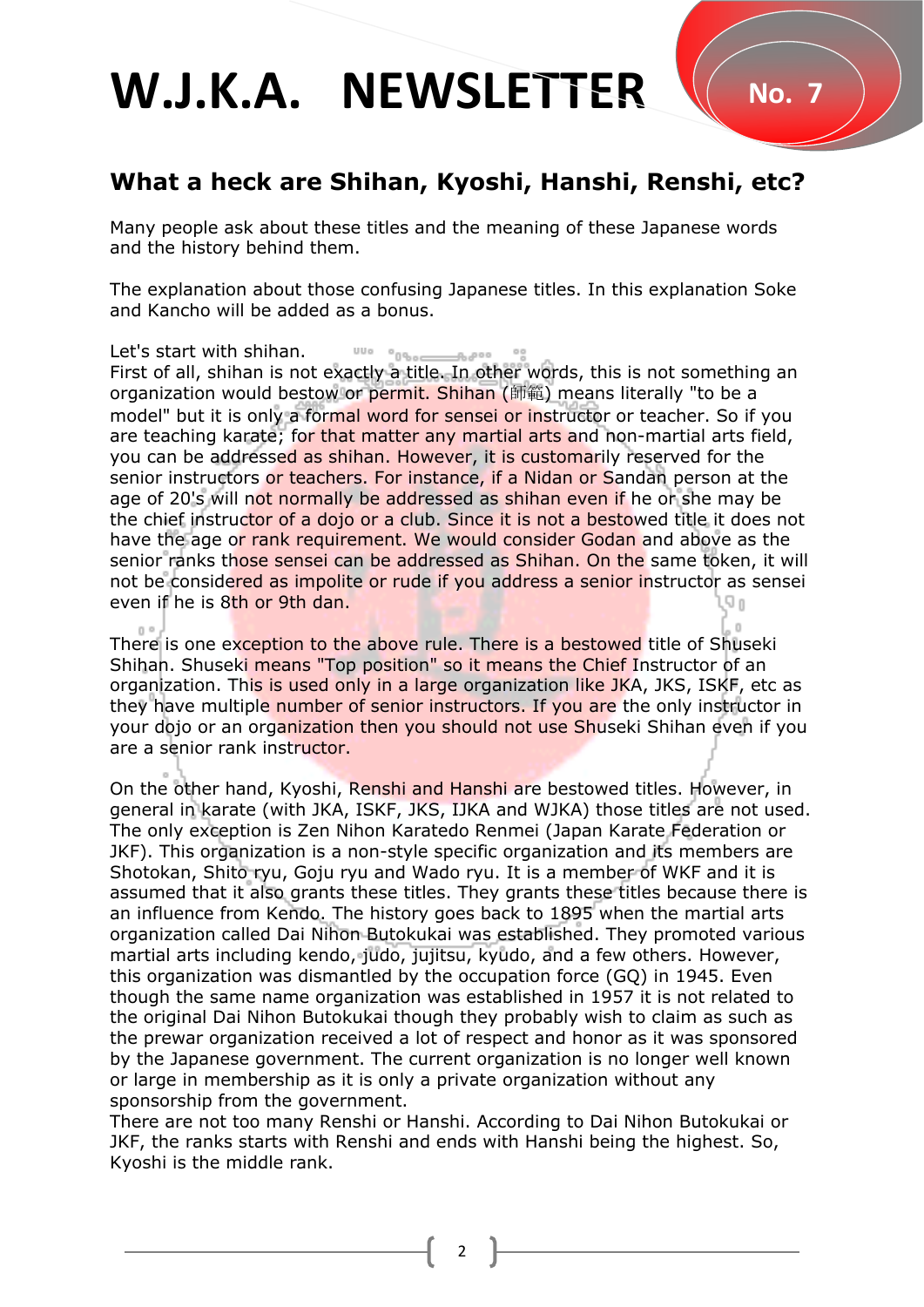# W.J.K.A. NEWSLETTER VO.7

# **[What a heck are Shihan, Kyoshi, Hanshi, Renshi, etc?](https://karatecoaching.com/what-a-heck-are-shihan-kyoshi-hanshi-renshi-etc/)**

Many people ask about these titles and the meaning of these Japanese words and the history behind them.

The explanation about those confusing Japanese titles. In this explanation Soke and Kancho will be added as a bonus.

Let's start with shihan.

First of all, shihan is not exactly a title. In other words, this is not something an organization would bestow or permit. Shihan (師範) means literally "to be a model" but it is only a formal word for sensei or instructor or teacher. So if you are teaching karate; for that matter any martial arts and non-martial arts field, you can be addressed as shihan. However, it is customarily reserved for the senior instructors or teachers. For instance, if a Nidan or Sandan person at the age of 20's will not normally be addressed as shihan even if he or she may be the chief instructor of a dojo or a club. Since it is not a bestowed title it does not have the age or rank requirement. We would consider Godan and above as the senior ranks those sensei can be addressed as Shihan. On the same token, it will not be considered as impolite or rude if you address a senior instructor as sensei even if he is 8th or 9th dan.

There is one exception to the above rule. There is a bestowed title of Shuseki Shihan. Shuseki means "Top position" so it means the Chief Instructor of an organization. This is used only in a large organization like JKA, JKS, ISKF, etc as they have multiple number of senior instructors. If you are the only instructor in your dojo or an organization then you should not use Shuseki Shihan even if you are a senior rank instructor.

On the other hand, Kyoshi, Renshi and Hanshi are bestowed titles. However, in general in karate (with JKA, ISKF, JKS, IJKA and WJKA) those titles are not used. The only exception is Zen Nihon Karatedo Renmei (Japan Karate Federation or JKF). This organization is a non-style specific organization and its members are Shotokan, Shito ryu, Goju ryu and Wado ryu. It is a member of WKF and it is assumed that it also grants these titles. They grants these titles because there is an influence from Kendo. The history goes back to 1895 when the martial arts organization called Dai Nihon Butokukai was established. They promoted various martial arts including kendo, judo, jujitsu, kyudo, and a few others. However, this organization was dismantled by the occupation force (GQ) in 1945. Even though the same name organization was established in 1957 it is not related to the original Dai Nihon Butokukai though they probably wish to claim as such as the prewar organization received a lot of respect and honor as it was sponsored by the Japanese government. The current organization is no longer well known or large in membership as it is only a private organization without any sponsorship from the government.

There are not too many Renshi or Hanshi. According to Dai Nihon Butokukai or JKF, the ranks starts with Renshi and ends with Hanshi being the highest. So, Kyoshi is the middle rank.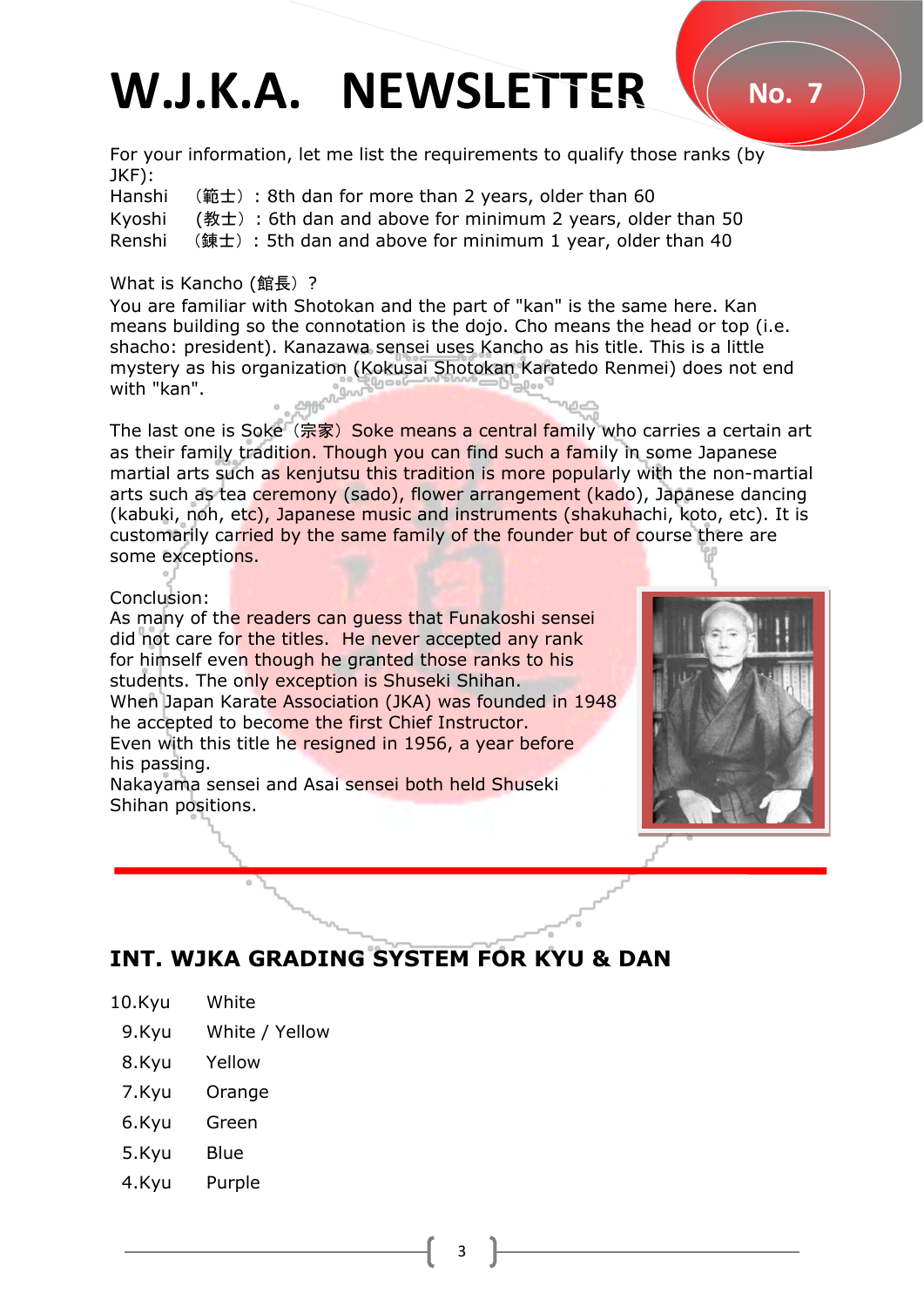# W.J.K.A. NEWSLETTER \( No. 7

For your information, let me list the requirements to qualify those ranks (by JKF):

Hanshi (範士): 8th dan for more than 2 years, older than 60 Kyoshi (教士): 6th dan and above for minimum 2 years, older than 50 Renshi (錬士): 5th dan and above for minimum 1 year, older than 40

## What is Kancho (館長) ?

You are familiar with Shotokan and the part of "kan" is the same here. Kan means building so the connotation is the dojo. Cho means the head or top (i.e. shacho: president). Kanazawa sensei uses Kancho as his title. This is a little mystery as his organization (Kokusai Shotokan Karatedo Renmei) does not end with "kan".

The last one is Soke (宗家) Soke means a central family who carries a certain art as their family tradition. Though you can find such a family in some Japanese martial arts such as kenjutsu this tradition is more popularly with the non-martial arts such as tea ceremony (sado), flower arrangement (kado), Japanese dancing (kabuki, noh, etc), Japanese music and instruments (shakuhachi, koto, etc). It is customarily carried by the same family of the founder but of course there are some exceptions.

### Conclusion:

As many of the readers can guess that Funakoshi sensei did not care for the titles. He never accepted any rank for himself even though he granted those ranks to his students. The only exception is Shuseki Shihan. When Japan Karate Association (JKA) was founded in 1948 he accepted to become the first Chief Instructor. Even with this title he resigned in 1956, a year before his passing.

Nakayama sensei and Asai sensei both held Shuseki Shihan positions.



# **INT. WJKA GRADING SYSTEM FOR KYU & DAN**

- 10.Kyu White
- 9.Kyu White / Yellow
- 8.Kyu Yellow
- 7.Kyu **Orange**
- 6.Kyu Green
- 5.Kyu Blue
- 4.Kyu Purple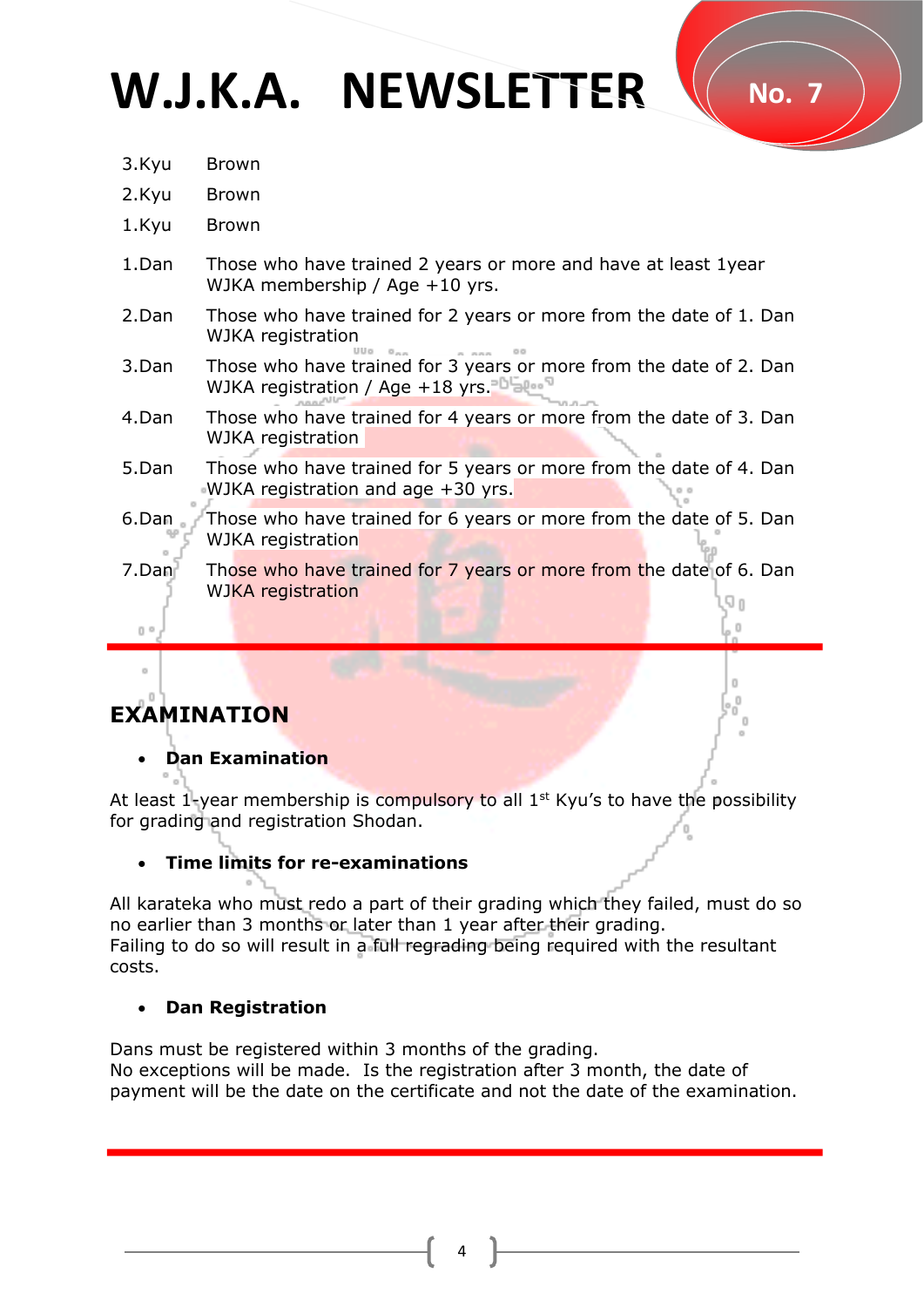# W.J.K.A. NEWSLETTER VO.7

- 3.Kyu Brown
- 2.Kyu Brown
- 1.Kyu Brown
- 1.Dan Those who have trained 2 years or more and have at least 1year WJKA membership / Age +10 yrs.
- 2.Dan Those who have trained for 2 years or more from the date of 1. Dan WJKA registration
- 3.Dan Those who have trained for 3 years or more from the date of 2. Dan WJKA registration / Age +18 yrs.
- 4.Dan Those who have trained for 4 years or more from the date of 3. Dan WJKA registration
- 5.Dan Those who have trained for 5 years or more from the date of 4. Dan WJKA registration and age +30 yrs.
- 6.Dan Those who have trained for 6 years or more from the date of 5. Dan WJKA registration
- 7.Dan Those who have trained for 7 years or more from the date of 6. Dan WJKA registration

# **EXAMINATION**

## • **Dan Examination**

At least 1-year membership is compulsory to all  $1<sup>st</sup>$  Kyu's to have the possibility for grading and registration Shodan.

## • **Time limits for re-examinations**

All karateka who must redo a part of their grading which they failed, must do so no earlier than 3 months or later than 1 year after their grading. Failing to do so will result in a full regrading being required with the resultant costs.

## • **Dan Registration**

Dans must be registered within 3 months of the grading. No exceptions will be made. Is the registration after 3 month, the date of payment will be the date on the certificate and not the date of the examination.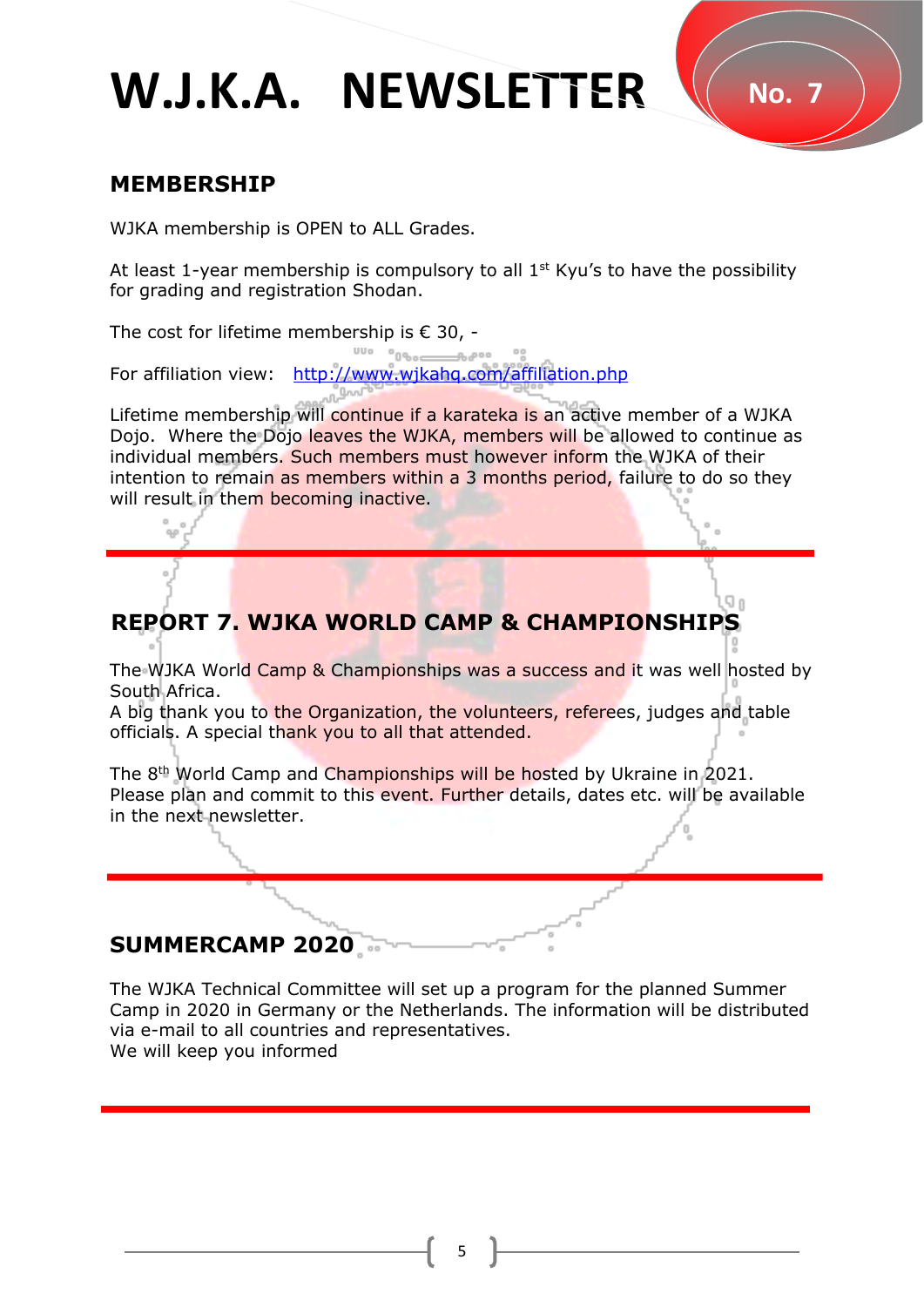# W.J.K.A. NEWSLETTER W.No. 7

# **MEMBERSHIP**

WJKA membership is OPEN to ALL Grades.

At least 1-year membership is compulsory to all  $1<sup>st</sup>$  Kyu's to have the possibility for grading and registration Shodan.

The cost for lifetime membership is  $\epsilon$  30, -

For affiliation view: <http://www.wjkahq.com/affiliation.php>

Lifetime membership will continue if a karateka is an active member of a WJKA Dojo. Where the Dojo leaves the WJKA, members will be allowed to continue as individual members. Such members must however inform the WJKA of their intention to remain as members within a 3 months period, failure to do so they will result in them becoming inactive.

# **REPORT 7. WJKA WORLD CAMP & CHAMPIONSHIPS**

The WJKA World Camp & Championships was a success and it was well hosted by South Africa.

A big thank you to the Organization, the volunteers, referees, judges and table officials. A special thank you to all that attended.

The 8th World Camp and Championships will be hosted by Ukraine in 2021. Please plan and commit to this event. Further details, dates etc. will be available in the next newsletter.

# **SUMMERCAMP 2020**

.

The WJKA Technical Committee will set up a program for the planned Summer Camp in 2020 in Germany or the Netherlands. The information will be distributed via e-mail to all countries and representatives. We will keep you informed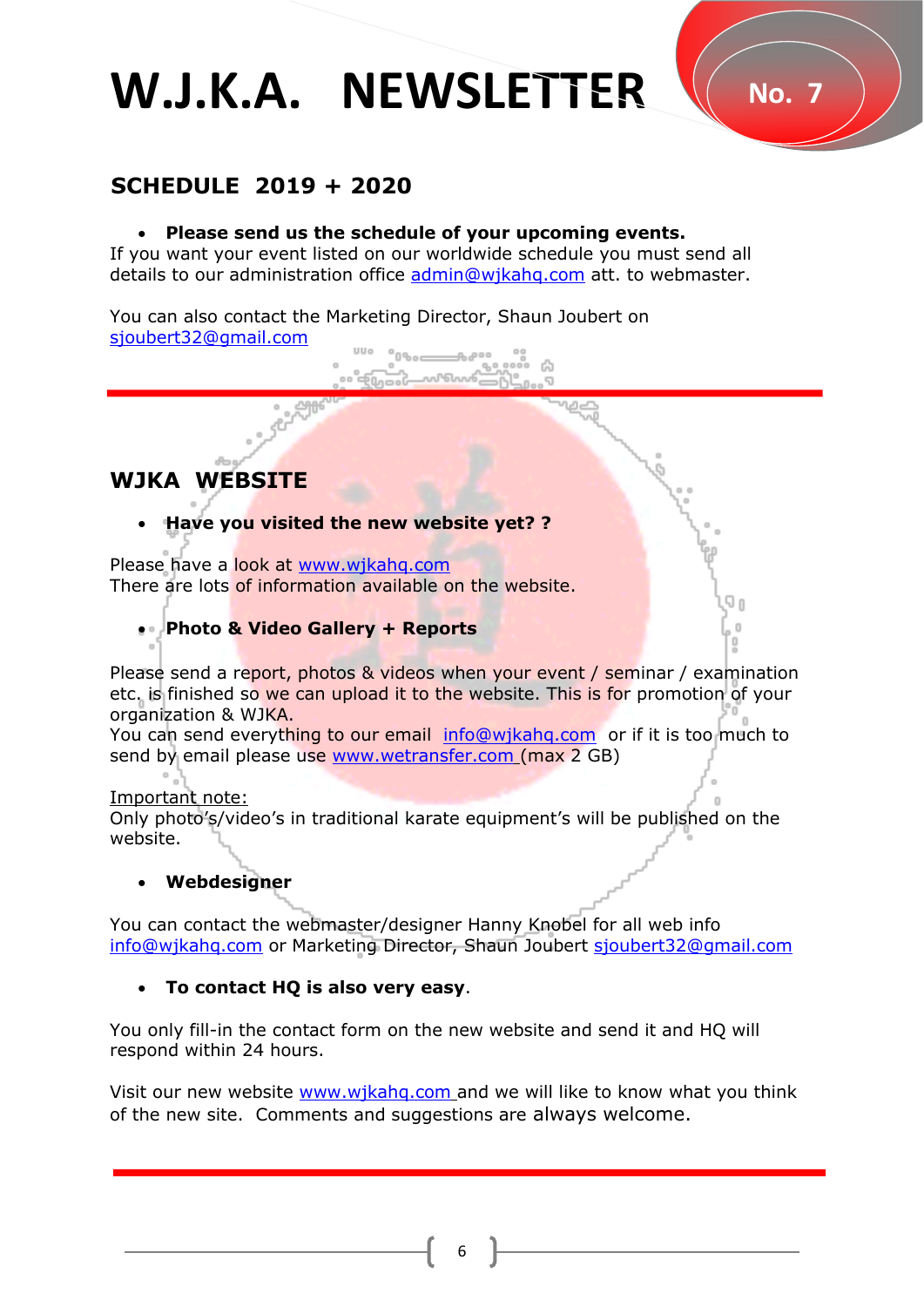# W.J.K.A. NEWSLETTER V No. 7

# **SCHEDULE 2019 + 2020**

## • **Please send us the schedule of your upcoming events.**

If you want your event listed on our worldwide schedule you must send all details to our administration office **admin@wjkahq.com** att. to webmaster.

You can also contact the Marketing Director, Shaun Joubert on [sjoubert32@gmail.com](mailto:sjoubert32@gmail.com)

## **WJKA WEBSITE**

## • **Have you visited the new website yet? ?**

Please have a look at [www.wjkahq.com](http://www.wjkahq.com/) There are lots of information available on the website.

## • **Photo & Video Gallery + Reports**

Please send a report, photos & videos when your event / seminar / examination etc. is finished so we can upload it to the website. This is for promotion of your organization & WJKA.

You can send everything to our email info@wjkahg.com or if it is too much to send by email please use [www.wetransfer.com](http://www.wetransfer.com/) (max 2 GB)

#### Important note:

Only photo's/video's in traditional karate equipment's will be published on the website.

## • **Webdesigner**

You can contact the webmaster/designer Hanny Knobel for all web info info@wjkahq.com or Marketing Director, Shaun Joubert [sjoubert32@gmail.com](mailto:sjoubert32@gmail.com)

## • **To contact HQ is also very easy**.

You only fill-in the contact form on the new website and send it and HQ will respond within 24 hours.

Visit our new website [www.wjkahq.com](http://www.wjkahq.com/) and we will like to know what you think of the new site. Comments and suggestions are always welcome.